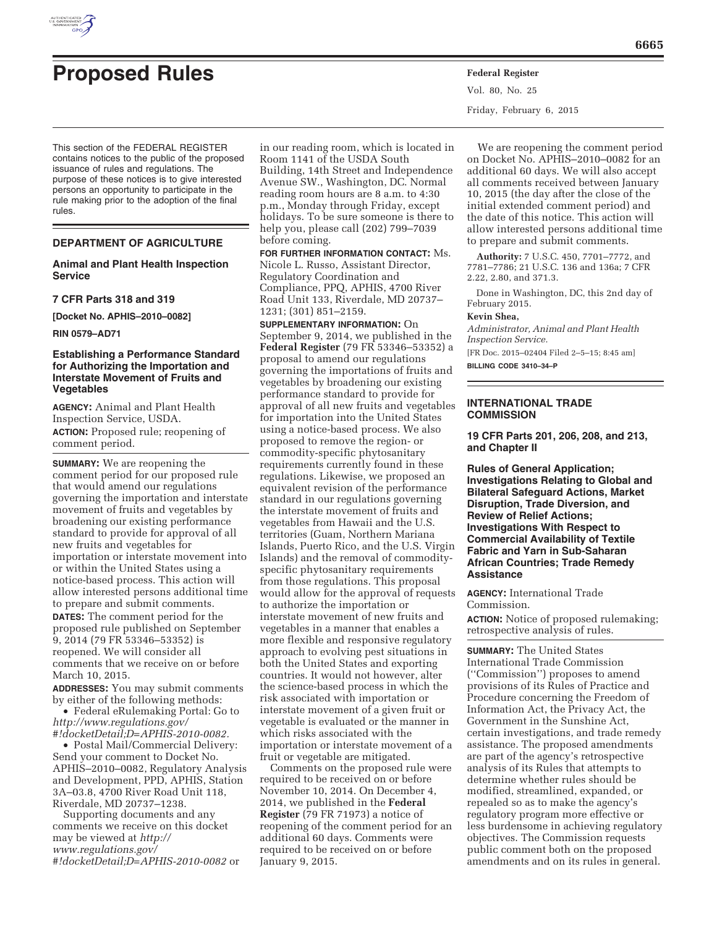

# **Proposed Rules Federal Register**

This section of the FEDERAL REGISTER contains notices to the public of the proposed issuance of rules and regulations. The purpose of these notices is to give interested persons an opportunity to participate in the rule making prior to the adoption of the final rules.

## **DEPARTMENT OF AGRICULTURE**

# **Animal and Plant Health Inspection Service**

#### **7 CFR Parts 318 and 319**

**[Docket No. APHIS–2010–0082]** 

**RIN 0579–AD71** 

# **Establishing a Performance Standard for Authorizing the Importation and Interstate Movement of Fruits and Vegetables**

**AGENCY:** Animal and Plant Health Inspection Service, USDA. **ACTION:** Proposed rule; reopening of comment period.

**SUMMARY:** We are reopening the comment period for our proposed rule that would amend our regulations governing the importation and interstate movement of fruits and vegetables by broadening our existing performance standard to provide for approval of all new fruits and vegetables for importation or interstate movement into or within the United States using a notice-based process. This action will allow interested persons additional time to prepare and submit comments.

**DATES:** The comment period for the proposed rule published on September 9, 2014 (79 FR 53346–53352) is reopened. We will consider all comments that we receive on or before March 10, 2015.

**ADDRESSES:** You may submit comments by either of the following methods:

• Federal eRulemaking Portal: Go to *http://www.regulations.gov/ #!docketDetail;D=APHIS-2010-0082.* 

• Postal Mail/Commercial Delivery: Send your comment to Docket No. APHIS–2010–0082, Regulatory Analysis and Development, PPD, APHIS, Station 3A–03.8, 4700 River Road Unit 118, Riverdale, MD 20737–1238.

Supporting documents and any comments we receive on this docket may be viewed at *http:// www.regulations.gov/ #!docketDetail;D=APHIS-2010-0082* or in our reading room, which is located in Room 1141 of the USDA South Building, 14th Street and Independence Avenue SW., Washington, DC. Normal reading room hours are 8 a.m. to 4:30 p.m., Monday through Friday, except holidays. To be sure someone is there to help you, please call (202) 799–7039 before coming.

**FOR FURTHER INFORMATION CONTACT:** Ms. Nicole L. Russo, Assistant Director, Regulatory Coordination and Compliance, PPQ, APHIS, 4700 River Road Unit 133, Riverdale, MD 20737– 1231; (301) 851–2159.

**SUPPLEMENTARY INFORMATION:** On September 9, 2014, we published in the **Federal Register** (79 FR 53346–53352) a proposal to amend our regulations governing the importations of fruits and vegetables by broadening our existing performance standard to provide for approval of all new fruits and vegetables for importation into the United States using a notice-based process. We also proposed to remove the region- or commodity-specific phytosanitary requirements currently found in these regulations. Likewise, we proposed an equivalent revision of the performance standard in our regulations governing the interstate movement of fruits and vegetables from Hawaii and the U.S. territories (Guam, Northern Mariana Islands, Puerto Rico, and the U.S. Virgin Islands) and the removal of commodityspecific phytosanitary requirements from those regulations. This proposal would allow for the approval of requests to authorize the importation or interstate movement of new fruits and vegetables in a manner that enables a more flexible and responsive regulatory approach to evolving pest situations in both the United States and exporting countries. It would not however, alter the science-based process in which the risk associated with importation or interstate movement of a given fruit or vegetable is evaluated or the manner in which risks associated with the importation or interstate movement of a fruit or vegetable are mitigated.

Comments on the proposed rule were required to be received on or before November 10, 2014. On December 4, 2014, we published in the **Federal Register** (79 FR 71973) a notice of reopening of the comment period for an additional 60 days. Comments were required to be received on or before January 9, 2015.

Vol. 80, No. 25 Friday, February 6, 2015

We are reopening the comment period on Docket No. APHIS–2010–0082 for an additional 60 days. We will also accept all comments received between January 10, 2015 (the day after the close of the initial extended comment period) and the date of this notice. This action will allow interested persons additional time to prepare and submit comments.

**Authority:** 7 U.S.C. 450, 7701–7772, and 7781–7786; 21 U.S.C. 136 and 136a; 7 CFR 2.22, 2.80, and 371.3.

Done in Washington, DC, this 2nd day of February 2015.

#### **Kevin Shea,**

*Administrator, Animal and Plant Health Inspection Service.* 

[FR Doc. 2015–02404 Filed 2–5–15; 8:45 am] **BILLING CODE 3410–34–P** 

## **INTERNATIONAL TRADE COMMISSION**

**19 CFR Parts 201, 206, 208, and 213, and Chapter II** 

**Rules of General Application; Investigations Relating to Global and Bilateral Safeguard Actions, Market Disruption, Trade Diversion, and Review of Relief Actions; Investigations With Respect to Commercial Availability of Textile Fabric and Yarn in Sub-Saharan African Countries; Trade Remedy Assistance** 

## **AGENCY:** International Trade Commission.

**ACTION:** Notice of proposed rulemaking; retrospective analysis of rules.

**SUMMARY:** The United States International Trade Commission (''Commission'') proposes to amend provisions of its Rules of Practice and Procedure concerning the Freedom of Information Act, the Privacy Act, the Government in the Sunshine Act, certain investigations, and trade remedy assistance. The proposed amendments are part of the agency's retrospective analysis of its Rules that attempts to determine whether rules should be modified, streamlined, expanded, or repealed so as to make the agency's regulatory program more effective or less burdensome in achieving regulatory objectives. The Commission requests public comment both on the proposed amendments and on its rules in general.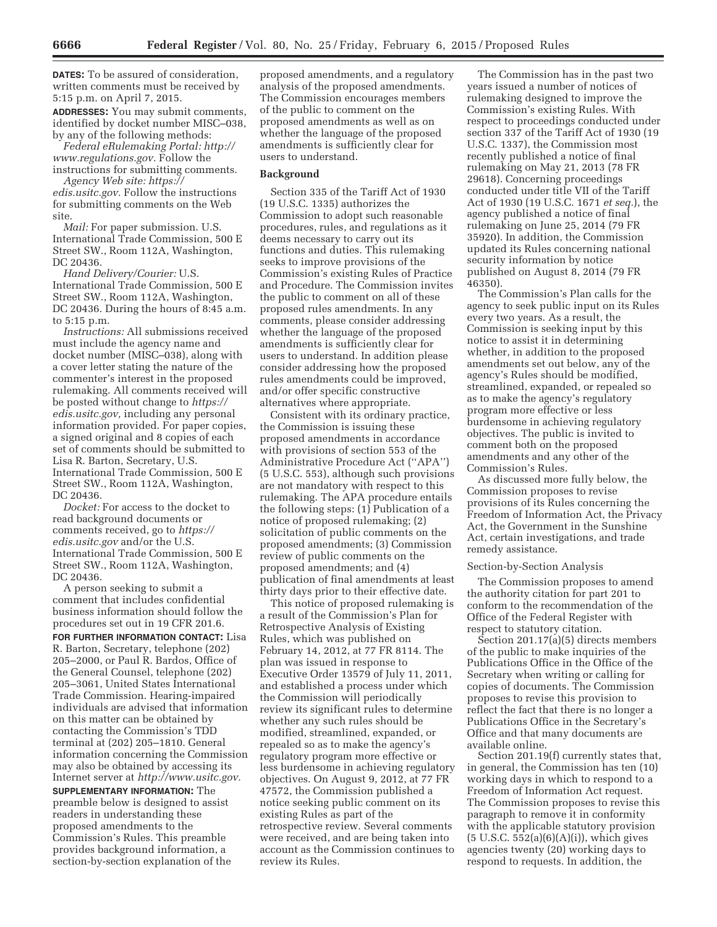**DATES:** To be assured of consideration, written comments must be received by 5:15 p.m. on April 7, 2015.

**ADDRESSES:** You may submit comments, identified by docket number MISC–038, by any of the following methods:

*Federal eRulemaking Portal: http:// www.regulations.gov.* Follow the instructions for submitting comments.

*Agency Web site: https:// edis.usitc.gov.* Follow the instructions for submitting comments on the Web site.

*Mail:* For paper submission. U.S. International Trade Commission, 500 E Street SW., Room 112A, Washington, DC 20436.

*Hand Delivery/Courier:* U.S. International Trade Commission, 500 E Street SW., Room 112A, Washington, DC 20436. During the hours of 8:45 a.m. to 5:15 p.m.

*Instructions:* All submissions received must include the agency name and docket number (MISC–038), along with a cover letter stating the nature of the commenter's interest in the proposed rulemaking. All comments received will be posted without change to *https:// edis.usitc.gov,* including any personal information provided. For paper copies, a signed original and 8 copies of each set of comments should be submitted to Lisa R. Barton, Secretary, U.S. International Trade Commission, 500 E Street SW., Room 112A, Washington, DC 20436.

*Docket:* For access to the docket to read background documents or comments received, go to *https:// edis.usitc.gov* and/or the U.S. International Trade Commission, 500 E Street SW., Room 112A, Washington, DC 20436.

A person seeking to submit a comment that includes confidential business information should follow the procedures set out in 19 CFR 201.6.

**FOR FURTHER INFORMATION CONTACT:** Lisa R. Barton, Secretary, telephone (202) 205–2000, or Paul R. Bardos, Office of the General Counsel, telephone (202) 205–3061, United States International Trade Commission. Hearing-impaired individuals are advised that information on this matter can be obtained by contacting the Commission's TDD terminal at (202) 205–1810. General information concerning the Commission may also be obtained by accessing its Internet server at *http://www.usitc.gov.* 

**SUPPLEMENTARY INFORMATION:** The preamble below is designed to assist readers in understanding these proposed amendments to the Commission's Rules. This preamble provides background information, a section-by-section explanation of the proposed amendments, and a regulatory analysis of the proposed amendments. The Commission encourages members of the public to comment on the proposed amendments as well as on whether the language of the proposed amendments is sufficiently clear for users to understand.

#### **Background**

Section 335 of the Tariff Act of 1930 (19 U.S.C. 1335) authorizes the Commission to adopt such reasonable procedures, rules, and regulations as it deems necessary to carry out its functions and duties. This rulemaking seeks to improve provisions of the Commission's existing Rules of Practice and Procedure. The Commission invites the public to comment on all of these proposed rules amendments. In any comments, please consider addressing whether the language of the proposed amendments is sufficiently clear for users to understand. In addition please consider addressing how the proposed rules amendments could be improved, and/or offer specific constructive alternatives where appropriate.

Consistent with its ordinary practice, the Commission is issuing these proposed amendments in accordance with provisions of section 553 of the Administrative Procedure Act (''APA'') (5 U.S.C. 553), although such provisions are not mandatory with respect to this rulemaking. The APA procedure entails the following steps: (1) Publication of a notice of proposed rulemaking; (2) solicitation of public comments on the proposed amendments; (3) Commission review of public comments on the proposed amendments; and (4) publication of final amendments at least thirty days prior to their effective date.

This notice of proposed rulemaking is a result of the Commission's Plan for Retrospective Analysis of Existing Rules, which was published on February 14, 2012, at 77 FR 8114. The plan was issued in response to Executive Order 13579 of July 11, 2011, and established a process under which the Commission will periodically review its significant rules to determine whether any such rules should be modified, streamlined, expanded, or repealed so as to make the agency's regulatory program more effective or less burdensome in achieving regulatory objectives. On August 9, 2012, at 77 FR 47572, the Commission published a notice seeking public comment on its existing Rules as part of the retrospective review. Several comments were received, and are being taken into account as the Commission continues to review its Rules.

The Commission has in the past two years issued a number of notices of rulemaking designed to improve the Commission's existing Rules. With respect to proceedings conducted under section 337 of the Tariff Act of 1930 (19 U.S.C. 1337), the Commission most recently published a notice of final rulemaking on May 21, 2013 (78 FR 29618). Concerning proceedings conducted under title VII of the Tariff Act of 1930 (19 U.S.C. 1671 *et seq.*), the agency published a notice of final rulemaking on June 25, 2014 (79 FR 35920). In addition, the Commission updated its Rules concerning national security information by notice published on August 8, 2014 (79 FR 46350).

The Commission's Plan calls for the agency to seek public input on its Rules every two years. As a result, the Commission is seeking input by this notice to assist it in determining whether, in addition to the proposed amendments set out below, any of the agency's Rules should be modified, streamlined, expanded, or repealed so as to make the agency's regulatory program more effective or less burdensome in achieving regulatory objectives. The public is invited to comment both on the proposed amendments and any other of the Commission's Rules.

As discussed more fully below, the Commission proposes to revise provisions of its Rules concerning the Freedom of Information Act, the Privacy Act, the Government in the Sunshine Act, certain investigations, and trade remedy assistance.

#### Section-by-Section Analysis

The Commission proposes to amend the authority citation for part 201 to conform to the recommendation of the Office of the Federal Register with respect to statutory citation.

Section 201.17(a)(5) directs members of the public to make inquiries of the Publications Office in the Office of the Secretary when writing or calling for copies of documents. The Commission proposes to revise this provision to reflect the fact that there is no longer a Publications Office in the Secretary's Office and that many documents are available online.

Section 201.19(f) currently states that, in general, the Commission has ten (10) working days in which to respond to a Freedom of Information Act request. The Commission proposes to revise this paragraph to remove it in conformity with the applicable statutory provision (5 U.S.C. 552(a)(6)(A)(i)), which gives agencies twenty (20) working days to respond to requests. In addition, the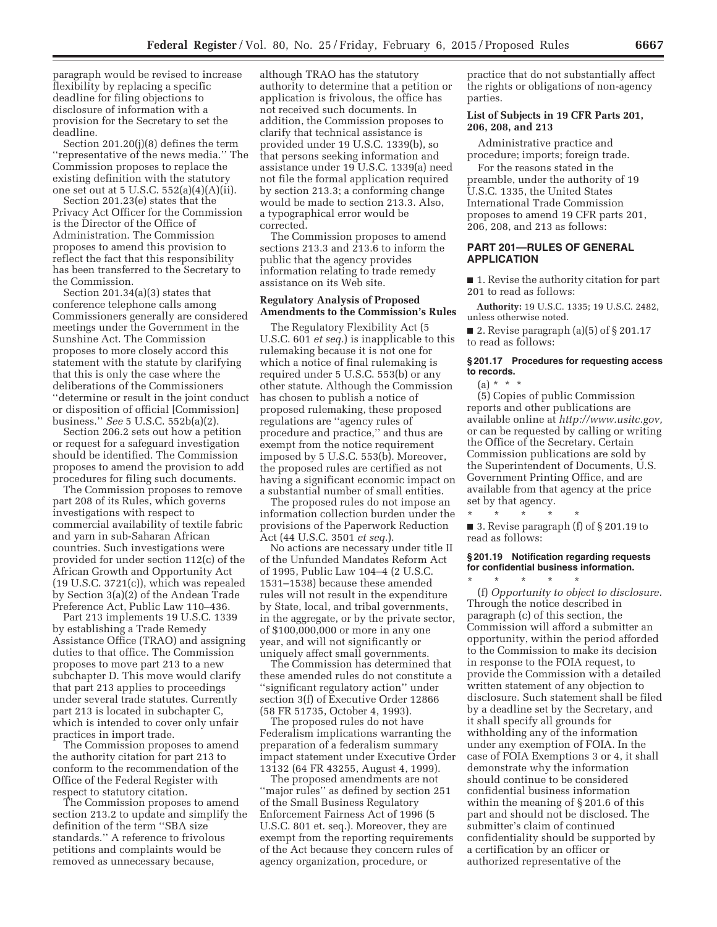paragraph would be revised to increase flexibility by replacing a specific deadline for filing objections to disclosure of information with a provision for the Secretary to set the deadline.

Section 201.20(j)(8) defines the term ''representative of the news media.'' The Commission proposes to replace the existing definition with the statutory one set out at  $5 \text{ U.S.C. } 552(a)(4)(A)(ii)$ .

Section 201.23(e) states that the Privacy Act Officer for the Commission is the Director of the Office of Administration. The Commission proposes to amend this provision to reflect the fact that this responsibility has been transferred to the Secretary to the Commission.

Section 201.34(a)(3) states that conference telephone calls among Commissioners generally are considered meetings under the Government in the Sunshine Act. The Commission proposes to more closely accord this statement with the statute by clarifying that this is only the case where the deliberations of the Commissioners ''determine or result in the joint conduct or disposition of official [Commission] business.'' *See* 5 U.S.C. 552b(a)(2).

Section 206.2 sets out how a petition or request for a safeguard investigation should be identified. The Commission proposes to amend the provision to add procedures for filing such documents.

The Commission proposes to remove part 208 of its Rules, which governs investigations with respect to commercial availability of textile fabric and yarn in sub-Saharan African countries. Such investigations were provided for under section 112(c) of the African Growth and Opportunity Act (19 U.S.C. 3721(c)), which was repealed by Section 3(a)(2) of the Andean Trade Preference Act, Public Law 110–436.

Part 213 implements 19 U.S.C. 1339 by establishing a Trade Remedy Assistance Office (TRAO) and assigning duties to that office. The Commission proposes to move part 213 to a new subchapter D. This move would clarify that part 213 applies to proceedings under several trade statutes. Currently part 213 is located in subchapter C, which is intended to cover only unfair practices in import trade.

The Commission proposes to amend the authority citation for part 213 to conform to the recommendation of the Office of the Federal Register with respect to statutory citation.

The Commission proposes to amend section 213.2 to update and simplify the definition of the term ''SBA size standards.'' A reference to frivolous petitions and complaints would be removed as unnecessary because,

although TRAO has the statutory authority to determine that a petition or application is frivolous, the office has not received such documents. In addition, the Commission proposes to clarify that technical assistance is provided under 19 U.S.C. 1339(b), so that persons seeking information and assistance under 19 U.S.C. 1339(a) need not file the formal application required by section 213.3; a conforming change would be made to section 213.3. Also, a typographical error would be corrected.

The Commission proposes to amend sections 213.3 and 213.6 to inform the public that the agency provides information relating to trade remedy assistance on its Web site.

# **Regulatory Analysis of Proposed Amendments to the Commission's Rules**

The Regulatory Flexibility Act (5 U.S.C. 601 *et seq.*) is inapplicable to this rulemaking because it is not one for which a notice of final rulemaking is required under 5 U.S.C. 553(b) or any other statute. Although the Commission has chosen to publish a notice of proposed rulemaking, these proposed regulations are ''agency rules of procedure and practice,'' and thus are exempt from the notice requirement imposed by 5 U.S.C. 553(b). Moreover, the proposed rules are certified as not having a significant economic impact on a substantial number of small entities.

The proposed rules do not impose an information collection burden under the provisions of the Paperwork Reduction Act (44 U.S.C. 3501 *et seq.*).

No actions are necessary under title II of the Unfunded Mandates Reform Act of 1995, Public Law 104–4 (2 U.S.C. 1531–1538) because these amended rules will not result in the expenditure by State, local, and tribal governments, in the aggregate, or by the private sector, of \$100,000,000 or more in any one year, and will not significantly or uniquely affect small governments.

The Commission has determined that these amended rules do not constitute a ''significant regulatory action'' under section 3(f) of Executive Order 12866 (58 FR 51735, October 4, 1993).

The proposed rules do not have Federalism implications warranting the preparation of a federalism summary impact statement under Executive Order 13132 (64 FR 43255, August 4, 1999).

The proposed amendments are not ''major rules'' as defined by section 251 of the Small Business Regulatory Enforcement Fairness Act of 1996 (5 U.S.C. 801 et. seq.). Moreover, they are exempt from the reporting requirements of the Act because they concern rules of agency organization, procedure, or

practice that do not substantially affect the rights or obligations of non-agency parties.

## **List of Subjects in 19 CFR Parts 201, 206, 208, and 213**

Administrative practice and procedure; imports; foreign trade.

For the reasons stated in the preamble, under the authority of 19 U.S.C. 1335, the United States International Trade Commission proposes to amend 19 CFR parts 201, 206, 208, and 213 as follows:

## **PART 201—RULES OF GENERAL APPLICATION**

■ 1. Revise the authority citation for part 201 to read as follows:

**Authority:** 19 U.S.C. 1335; 19 U.S.C. 2482, unless otherwise noted.

■ 2. Revise paragraph  $(a)(5)$  of § 201.17 to read as follows:

## **§ 201.17 Procedures for requesting access to records.**

 $(a) * * * *$ 

(5) Copies of public Commission reports and other publications are available online at *http://www.usitc.gov,*  or can be requested by calling or writing the Office of the Secretary. Certain Commission publications are sold by the Superintendent of Documents, U.S. Government Printing Office, and are available from that agency at the price set by that agency.

\* \* \* \* \* ■ 3. Revise paragraph (f) of § 201.19 to read as follows:

# **§ 201.19 Notification regarding requests for confidential business information.**

\* \* \* \* \* (f) *Opportunity to object to disclosure.*  Through the notice described in paragraph (c) of this section, the Commission will afford a submitter an opportunity, within the period afforded to the Commission to make its decision in response to the FOIA request, to provide the Commission with a detailed written statement of any objection to disclosure. Such statement shall be filed by a deadline set by the Secretary, and it shall specify all grounds for withholding any of the information under any exemption of FOIA. In the case of FOIA Exemptions 3 or 4, it shall demonstrate why the information should continue to be considered confidential business information within the meaning of § 201.6 of this part and should not be disclosed. The submitter's claim of continued confidentiality should be supported by a certification by an officer or authorized representative of the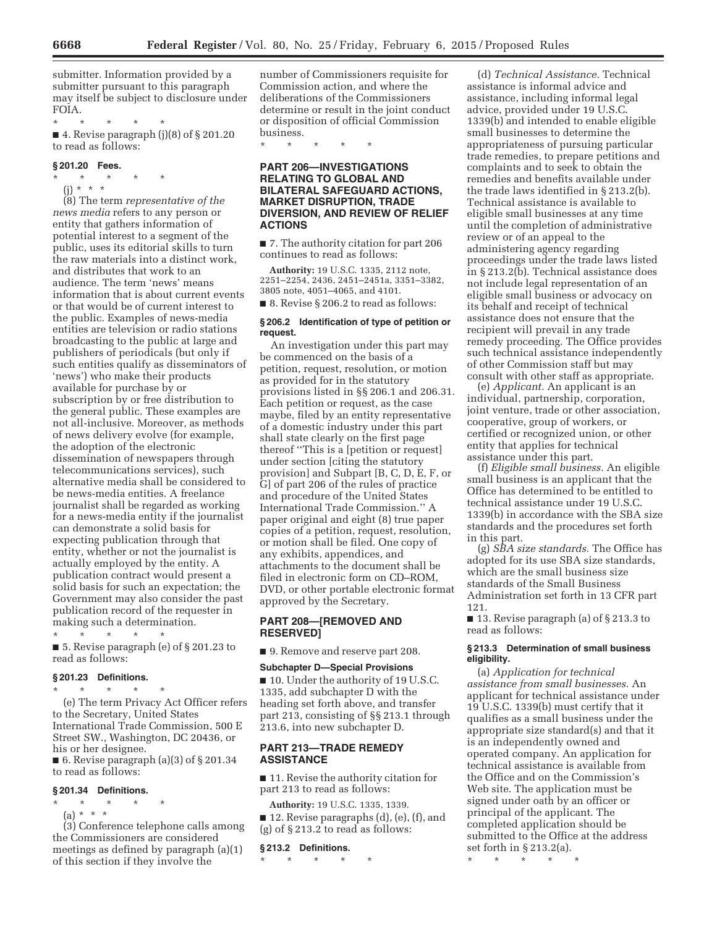submitter. Information provided by a submitter pursuant to this paragraph may itself be subject to disclosure under FOIA.

\* \* \* \* \*

■ 4. Revise paragraph (j)(8) of § 201.20 to read as follows:

## **§ 201.20 Fees.**

\* \* \* \* \* (j) \* \* \*

(8) The term *representative of the news media* refers to any person or entity that gathers information of potential interest to a segment of the public, uses its editorial skills to turn the raw materials into a distinct work, and distributes that work to an audience. The term 'news' means information that is about current events or that would be of current interest to the public. Examples of news-media entities are television or radio stations broadcasting to the public at large and publishers of periodicals (but only if such entities qualify as disseminators of 'news') who make their products available for purchase by or subscription by or free distribution to the general public. These examples are not all-inclusive. Moreover, as methods of news delivery evolve (for example, the adoption of the electronic dissemination of newspapers through telecommunications services), such alternative media shall be considered to be news-media entities. A freelance journalist shall be regarded as working for a news-media entity if the journalist can demonstrate a solid basis for expecting publication through that entity, whether or not the journalist is actually employed by the entity. A publication contract would present a solid basis for such an expectation; the Government may also consider the past publication record of the requester in making such a determination.

\* \* \* \* \* ■ 5. Revise paragraph (e) of § 201.23 to read as follows:

#### **§ 201.23 Definitions.**

\* \* \* \* \* (e) The term Privacy Act Officer refers to the Secretary, United States International Trade Commission, 500 E Street SW., Washington, DC 20436, or his or her designee.

 $\blacksquare$  6. Revise paragraph (a)(3) of § 201.34 to read as follows:

#### **§ 201.34 Definitions.**

\* \* \* \* \*

(a) \* \* \* (3) Conference telephone calls among the Commissioners are considered meetings as defined by paragraph (a)(1) of this section if they involve the

number of Commissioners requisite for Commission action, and where the deliberations of the Commissioners determine or result in the joint conduct or disposition of official Commission business.

\* \* \* \* \*

# **PART 206—INVESTIGATIONS RELATING TO GLOBAL AND BILATERAL SAFEGUARD ACTIONS, MARKET DISRUPTION, TRADE DIVERSION, AND REVIEW OF RELIEF ACTIONS**

■ 7. The authority citation for part 206 continues to read as follows:

**Authority:** 19 U.S.C. 1335, 2112 note, 2251–2254, 2436, 2451–2451a, 3351–3382, 3805 note, 4051–4065, and 4101.

■ 8. Revise § 206.2 to read as follows:

## **§ 206.2 Identification of type of petition or request.**

An investigation under this part may be commenced on the basis of a petition, request, resolution, or motion as provided for in the statutory provisions listed in §§ 206.1 and 206.31. Each petition or request, as the case maybe, filed by an entity representative of a domestic industry under this part shall state clearly on the first page thereof ''This is a [petition or request] under section [citing the statutory provision] and Subpart [B, C, D, E, F, or G] of part 206 of the rules of practice and procedure of the United States International Trade Commission.'' A paper original and eight (8) true paper copies of a petition, request, resolution, or motion shall be filed. One copy of any exhibits, appendices, and attachments to the document shall be filed in electronic form on CD–ROM, DVD, or other portable electronic format approved by the Secretary.

## **PART 208—[REMOVED AND RESERVED]**

■ 9. Remove and reserve part 208.

## **Subchapter D—Special Provisions**

■ 10. Under the authority of 19 U.S.C. 1335, add subchapter D with the heading set forth above, and transfer part 213, consisting of §§ 213.1 through 213.6, into new subchapter D.

# **PART 213—TRADE REMEDY ASSISTANCE**

■ 11. Revise the authority citation for part 213 to read as follows:

**Authority:** 19 U.S.C. 1335, 1339.

■ 12. Revise paragraphs (d), (e), (f), and (g) of § 213.2 to read as follows:

### **§ 213.2 Definitions.**

\* \* \* \* \*

(d) *Technical Assistance.* Technical assistance is informal advice and assistance, including informal legal advice, provided under 19 U.S.C. 1339(b) and intended to enable eligible small businesses to determine the appropriateness of pursuing particular trade remedies, to prepare petitions and complaints and to seek to obtain the remedies and benefits available under the trade laws identified in § 213.2(b). Technical assistance is available to eligible small businesses at any time until the completion of administrative review or of an appeal to the administering agency regarding proceedings under the trade laws listed in § 213.2(b). Technical assistance does not include legal representation of an eligible small business or advocacy on its behalf and receipt of technical assistance does not ensure that the recipient will prevail in any trade remedy proceeding. The Office provides such technical assistance independently of other Commission staff but may consult with other staff as appropriate.

(e) *Applicant.* An applicant is an individual, partnership, corporation, joint venture, trade or other association, cooperative, group of workers, or certified or recognized union, or other entity that applies for technical assistance under this part.

(f) *Eligible small business.* An eligible small business is an applicant that the Office has determined to be entitled to technical assistance under 19 U.S.C. 1339(b) in accordance with the SBA size standards and the procedures set forth in this part.

(g) *SBA size standards.* The Office has adopted for its use SBA size standards, which are the small business size standards of the Small Business Administration set forth in 13 CFR part 121.

■ 13. Revise paragraph (a) of § 213.3 to read as follows:

# **§ 213.3 Determination of small business eligibility.**

(a) *Application for technical assistance from small businesses.* An applicant for technical assistance under 19 U.S.C. 1339(b) must certify that it qualifies as a small business under the appropriate size standard(s) and that it is an independently owned and operated company. An application for technical assistance is available from the Office and on the Commission's Web site. The application must be signed under oath by an officer or principal of the applicant. The completed application should be submitted to the Office at the address set forth in § 213.2(a).

\* \* \* \* \*